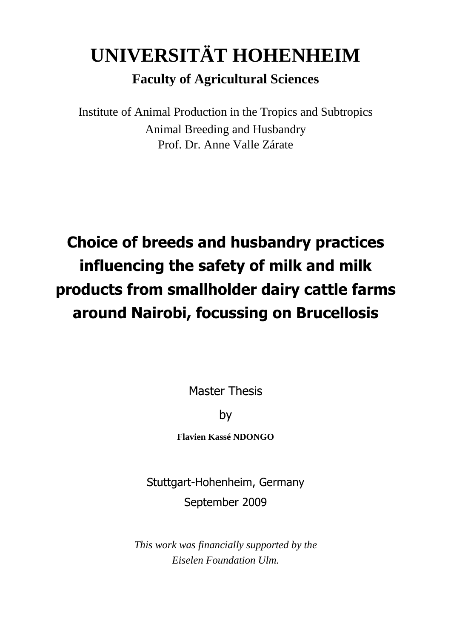# **UNIVERSITÄT HOHENHEIM**

### **Faculty of Agricultural Sciences**

Institute of Animal Production in the Tropics and Subtropics Animal Breeding and Husbandry Prof. Dr. Anne Valle Zárate

## **Choice of breeds and husbandry practices influencing the safety of milk and milk products from smallholder dairy cattle farms around Nairobi, focussing on Brucellosis**

Master Thesis

by

**Flavien Kassé NDONGO** 

Stuttgart-Hohenheim, Germany September 2009

*This work was financially supported by the Eiselen Foundation Ulm.*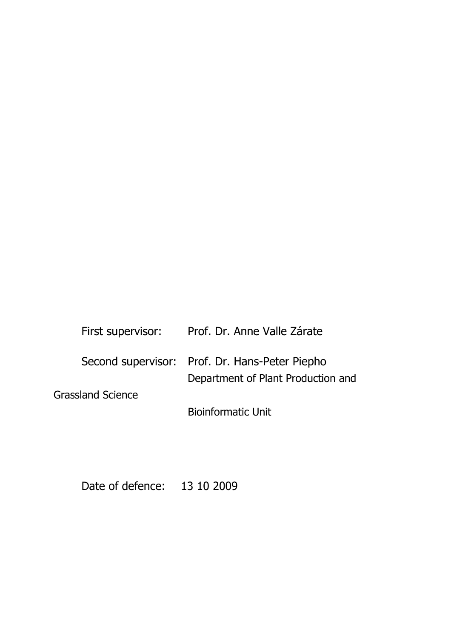| First supervisor: | Prof. Dr. Anne Valle Zárate                    |
|-------------------|------------------------------------------------|
|                   | Second supervisor: Prof. Dr. Hans-Peter Piepho |
|                   | Department of Plant Production and             |
| Grassland Science |                                                |
|                   | <b>Bioinformatic Unit</b>                      |

Date of defence: 13 10 2009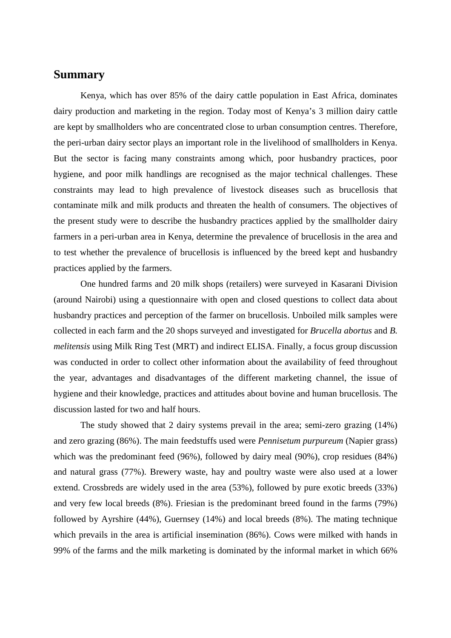#### **Summary**

Kenya, which has over 85% of the dairy cattle population in East Africa, dominates dairy production and marketing in the region. Today most of Kenya's 3 million dairy cattle are kept by smallholders who are concentrated close to urban consumption centres. Therefore, the peri-urban dairy sector plays an important role in the livelihood of smallholders in Kenya. But the sector is facing many constraints among which, poor husbandry practices, poor hygiene, and poor milk handlings are recognised as the major technical challenges. These constraints may lead to high prevalence of livestock diseases such as brucellosis that contaminate milk and milk products and threaten the health of consumers. The objectives of the present study were to describe the husbandry practices applied by the smallholder dairy farmers in a peri-urban area in Kenya, determine the prevalence of brucellosis in the area and to test whether the prevalence of brucellosis is influenced by the breed kept and husbandry practices applied by the farmers.

One hundred farms and 20 milk shops (retailers) were surveyed in Kasarani Division (around Nairobi) using a questionnaire with open and closed questions to collect data about husbandry practices and perception of the farmer on brucellosis. Unboiled milk samples were collected in each farm and the 20 shops surveyed and investigated for *Brucella abortus* and *B. melitensis* using Milk Ring Test (MRT) and indirect ELISA. Finally, a focus group discussion was conducted in order to collect other information about the availability of feed throughout the year, advantages and disadvantages of the different marketing channel, the issue of hygiene and their knowledge, practices and attitudes about bovine and human brucellosis. The discussion lasted for two and half hours.

 The study showed that 2 dairy systems prevail in the area; semi-zero grazing (14%) and zero grazing (86%). The main feedstuffs used were *Pennisetum purpureum* (Napier grass) which was the predominant feed (96%), followed by dairy meal (90%), crop residues (84%) and natural grass (77%). Brewery waste, hay and poultry waste were also used at a lower extend. Crossbreds are widely used in the area (53%), followed by pure exotic breeds (33%) and very few local breeds (8%). Friesian is the predominant breed found in the farms (79%) followed by Ayrshire (44%), Guernsey (14%) and local breeds (8%). The mating technique which prevails in the area is artificial insemination (86%). Cows were milked with hands in 99% of the farms and the milk marketing is dominated by the informal market in which 66%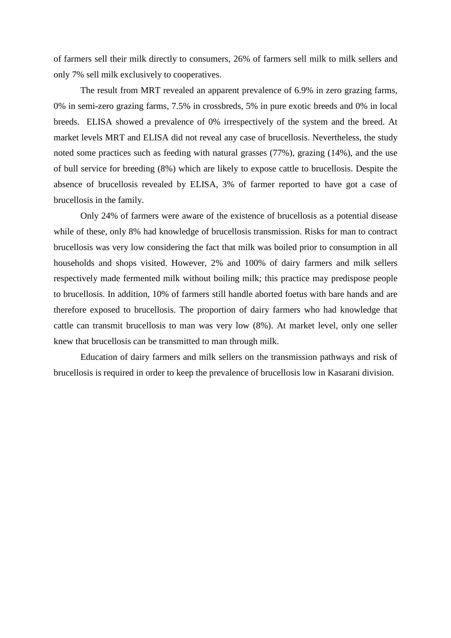of farmers sell their milk directly to consumers, 26% of farmers sell milk to milk sellers and only 7% sell milk exclusively to cooperatives.

 The result from MRT revealed an apparent prevalence of 6.9% in zero grazing farms, 0% in semi-zero grazing farms, 7.5% in crossbreds, 5% in pure exotic breeds and 0% in local breeds. ELISA showed a prevalence of 0% irrespectively of the system and the breed. At market levels MRT and ELISA did not reveal any case of brucellosis. Nevertheless, the study noted some practices such as feeding with natural grasses (77%), grazing (14%), and the use of bull service for breeding (8%) which are likely to expose cattle to brucellosis. Despite the absence of brucellosis revealed by ELISA, 3% of farmer reported to have got a case of brucellosis in the family.

 Only 24% of farmers were aware of the existence of brucellosis as a potential disease while of these, only 8% had knowledge of brucellosis transmission. Risks for man to contract brucellosis was very low considering the fact that milk was boiled prior to consumption in all households and shops visited. However, 2% and 100% of dairy farmers and milk sellers respectively made fermented milk without boiling milk; this practice may predispose people to brucellosis. In addition, 10% of farmers still handle aborted foetus with bare hands and are therefore exposed to brucellosis. The proportion of dairy farmers who had knowledge that cattle can transmit brucellosis to man was very low (8%). At market level, only one seller knew that brucellosis can be transmitted to man through milk.

 Education of dairy farmers and milk sellers on the transmission pathways and risk of brucellosis is required in order to keep the prevalence of brucellosis low in Kasarani division.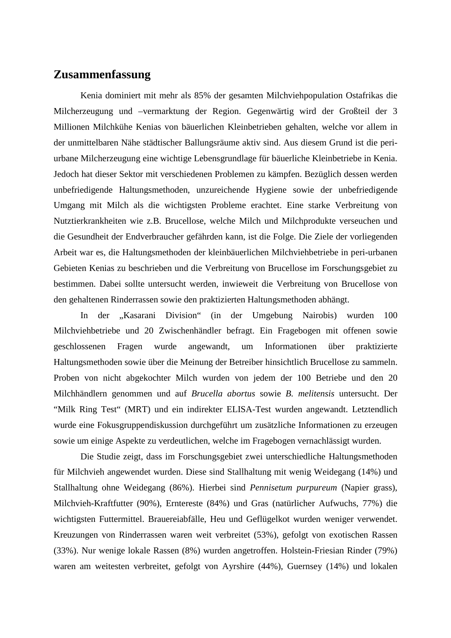#### **Zusammenfassung**

Kenia dominiert mit mehr als 85% der gesamten Milchviehpopulation Ostafrikas die Milcherzeugung und –vermarktung der Region. Gegenwärtig wird der Großteil der 3 Millionen Milchkühe Kenias von bäuerlichen Kleinbetrieben gehalten, welche vor allem in der unmittelbaren Nähe städtischer Ballungsräume aktiv sind. Aus diesem Grund ist die periurbane Milcherzeugung eine wichtige Lebensgrundlage für bäuerliche Kleinbetriebe in Kenia. Jedoch hat dieser Sektor mit verschiedenen Problemen zu kämpfen. Bezüglich dessen werden unbefriedigende Haltungsmethoden, unzureichende Hygiene sowie der unbefriedigende Umgang mit Milch als die wichtigsten Probleme erachtet. Eine starke Verbreitung von Nutztierkrankheiten wie z.B. Brucellose, welche Milch und Milchprodukte verseuchen und die Gesundheit der Endverbraucher gefährden kann, ist die Folge. Die Ziele der vorliegenden Arbeit war es, die Haltungsmethoden der kleinbäuerlichen Milchviehbetriebe in peri-urbanen Gebieten Kenias zu beschrieben und die Verbreitung von Brucellose im Forschungsgebiet zu bestimmen. Dabei sollte untersucht werden, inwieweit die Verbreitung von Brucellose von den gehaltenen Rinderrassen sowie den praktizierten Haltungsmethoden abhängt.

In der "Kasarani Division" (in der Umgebung Nairobis) wurden 100 Milchviehbetriebe und 20 Zwischenhändler befragt. Ein Fragebogen mit offenen sowie geschlossenen Fragen wurde angewandt, um Informationen über praktizierte Haltungsmethoden sowie über die Meinung der Betreiber hinsichtlich Brucellose zu sammeln. Proben von nicht abgekochter Milch wurden von jedem der 100 Betriebe und den 20 Milchhändlern genommen und auf *Brucella abortus* sowie *B. melitensis* untersucht. Der "Milk Ring Test" (MRT) und ein indirekter ELISA-Test wurden angewandt. Letztendlich wurde eine Fokusgruppendiskussion durchgeführt um zusätzliche Informationen zu erzeugen sowie um einige Aspekte zu verdeutlichen, welche im Fragebogen vernachlässigt wurden.

Die Studie zeigt, dass im Forschungsgebiet zwei unterschiedliche Haltungsmethoden für Milchvieh angewendet wurden. Diese sind Stallhaltung mit wenig Weidegang (14%) und Stallhaltung ohne Weidegang (86%). Hierbei sind *Pennisetum purpureum* (Napier grass), Milchvieh-Kraftfutter (90%), Erntereste (84%) und Gras (natürlicher Aufwuchs, 77%) die wichtigsten Futtermittel. Brauereiabfälle, Heu und Geflügelkot wurden weniger verwendet. Kreuzungen von Rinderrassen waren weit verbreitet (53%), gefolgt von exotischen Rassen (33%). Nur wenige lokale Rassen (8%) wurden angetroffen. Holstein-Friesian Rinder (79%) waren am weitesten verbreitet, gefolgt von Ayrshire (44%), Guernsey (14%) und lokalen